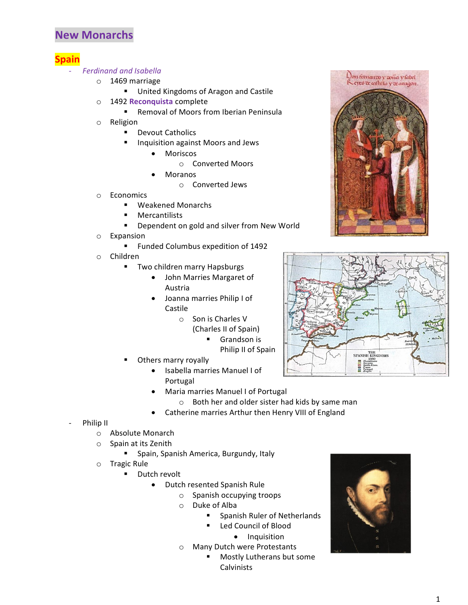## **New Monarchs**

## **Spain**

## - *Ferdinand and Isabella*

- o 1469 marriage
	- **United Kingdoms of Aragon and Castile**
- o 1492 **Reconquista** complete
	- **Removal of Moors from Iberian Peninsula**
- o Religion
	- **•** Devout Catholics
	- **Inquisition against Moors and Jews** 
		- Moriscos
			- o Converted Moors
		- Moranos
			- o Converted Jews
- o Economics
	- Weakened Monarchs
	- Mercantilists
	- **Dependent on gold and silver from New World**
- o Expansion
	- **Funded Columbus expedition of 1492**
- o Children
	- **Two children marry Hapsburgs** 
		- John Marries Margaret of Austria
		- Joanna marries Philip I of Castile
			- o Son is Charles V
				- (Charles II of Spain)
					- **Grandson is**
					- Philip II of Spain
	- Others marry royally
		- Isabella marries Manuel I of Portugal
		- Maria marries Manuel I of Portugal
			- o Both her and older sister had kids by same man
		- Catherine marries Arthur then Henry VIII of England
- Philip II
	- o Absolute Monarch
	- o Spain at its Zenith
		- **Spain, Spanish America, Burgundy, Italy**
	- o Tragic Rule
		- **Dutch revolt** 
			- Dutch resented Spanish Rule
				- o Spanish occupying troops
				- o Duke of Alba
					- **Spanish Ruler of Netherlands**
					- Led Council of Blood
						- **•** Inquisition
				- o Many Dutch were Protestants
					- **Mostly Lutherans but some** Calvinists





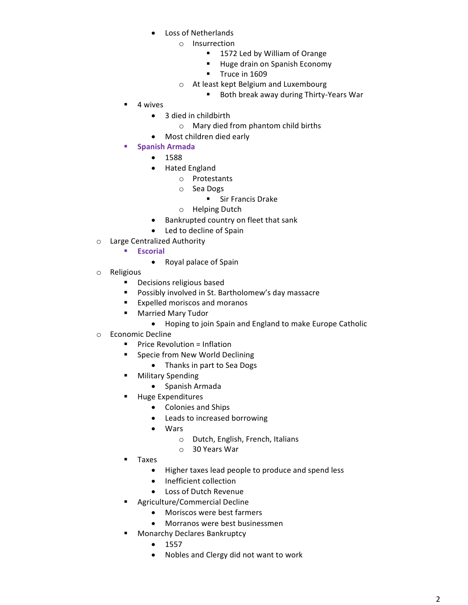- Loss of Netherlands
	- o Insurrection
		- 1572 Led by William of Orange
		- **Huge drain on Spanish Economy**
		- Truce in 1609
	- o At least kept Belgium and Luxembourg
		- Both break away during Thirty-Years War
- 4 wives
	- 3 died in childbirth
		- o Mary died from phantom child births
	- Most children died early
- **Spanish Armada**
	- 1588
	- Hated England
		- o Protestants
		- o Sea Dogs
			- **Sir Francis Drake**
		- o Helping Dutch
	- Bankrupted country on fleet that sank
	- Led to decline of Spain
- o Large Centralized Authority
	- **Escorial**
		- Royal palace of Spain
- o Religious
	- **•** Decisions religious based
	- **Possibly involved in St. Bartholomew's day massacre**
	- **Expelled moriscos and moranos**
	- **Married Mary Tudor** 
		- Hoping to join Spain and England to make Europe Catholic
- o Economic Decline
	- **Price Revolution = Inflation**
	- **Specie from New World Declining** 
		- Thanks in part to Sea Dogs
		- Military Spending
			- Spanish Armada
	- **Huge Expenditures** 
		- Colonies and Ships
		- Leads to increased borrowing
		- Wars
			- o Dutch, English, French, Italians
			- o 30 Years War
	- **Taxes** 
		- Higher taxes lead people to produce and spend less
		- Inefficient collection
		- Loss of Dutch Revenue
	- Agriculture/Commercial Decline
		- Moriscos were best farmers
		- Morranos were best businessmen
	- Monarchy Declares Bankruptcy
		- $1557$
		- Nobles and Clergy did not want to work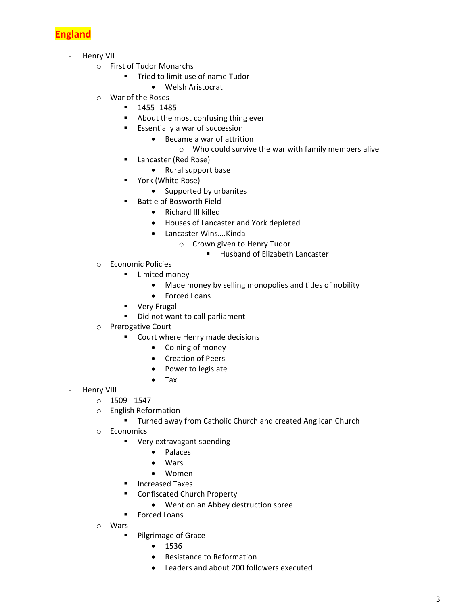

- Henry VII
	- o First of Tudor Monarchs
		- **Tried to limit use of name Tudor** 
			- Welsh Aristocrat
	- o War of the Roses
		- 1455- 1485
		- About the most confusing thing ever
		- **EXECUTE:** Essentially a war of succession
			- Became a war of attrition
				- o Who could survive the war with family members alive
		- Lancaster (Red Rose)
			- Rural support base
		- York (White Rose)
			- Supported by urbanites
		- Battle of Bosworth Field
			- Richard III killed
			- Houses of Lancaster and York depleted
			- Lancaster Wins….Kinda
				- o Crown given to Henry Tudor
					- Husband of Elizabeth Lancaster
	- o Economic Policies
		- **E** Limited money
			- Made money by selling monopolies and titles of nobility
			- Forced Loans
		- **very Frugal**
		- Did not want to call parliament
	- o Prerogative Court
		- **Court where Henry made decisions** 
			- Coining of money
			- Creation of Peers
			- Power to legislate
			- Tax
- Henry VIII
	- $O$  1509 1547
	- o English Reformation
		- **Turned away from Catholic Church and created Anglican Church**
	- o Economics
		- **•** Very extravagant spending
			- Palaces
			- Wars
			- Women
		- **Increased Taxes**
		- Confiscated Church Property
			- Went on an Abbey destruction spree
		- **Forced Loans**
	- o Wars
		- **Pilgrimage of Grace** 
			- $1536$
			- Resistance to Reformation
			- Leaders and about 200 followers executed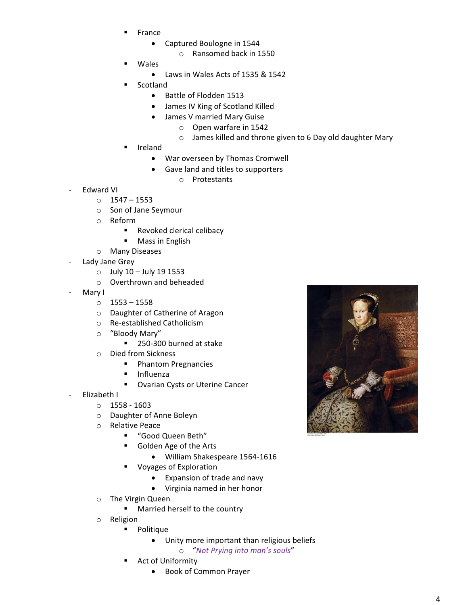- France
	- Captured Boulogne in 1544
		- o Ransomed back in 1550
- Wales
	- Laws in Wales Acts of 1535 & 1542
	- Scotland
		- Battle of Flodden 1513
		- James IV King of Scotland Killed
		- James V married Mary Guise
			- o Open warfare in 1542
			- o James killed and throne given to 6 Day old daughter Mary
- Ireland
	- War overseen by Thomas Cromwell
	- Gave land and titles to supporters
		- o Protestants
- Edward VI
	- o 1547 1553
	- o Son of Jane Seymour
	- o Reform
		- **Revoked clerical celibacy**
		- **Mass in English**
	- o Many Diseases
- Lady Jane Grey
	- $\circ$  July 10 July 19 1553
	- o Overthrown and beheaded
- Mary I
	- o 1553 1558
	- o Daughter of Catherine of Aragon
	- o Re-established Catholicism
	- o "Bloody Mary"
		- 250-300 burned at stake
	- o Died from Sickness
		- **Phantom Pregnancies**
		- **Influenza**
		- **Ovarian Cysts or Uterine Cancer**
- Elizabeth I
	- o 1558 1603
	- o Daughter of Anne Boleyn
	- o Relative Peace
		- "Good Queen Beth"
		- Golden Age of the Arts
			- William Shakespeare 1564-1616
		- Voyages of Exploration
			- Expansion of trade and navy
			- Virginia named in her honor
	- o The Virgin Queen
		- **Married herself to the country**
	- o Religion
		- **•** Politique
			- Unity more important than religious beliefs
				- o "*Not Prying into man's souls*"
		- Act of Uniformity
			- Book of Common Prayer